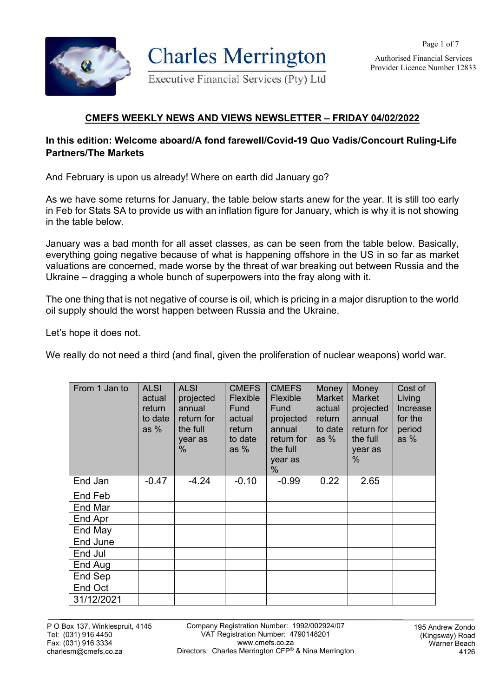

**Charles Merrington** 

Page 1 of 7 Authorised Financial Services

Provider Licence Number 12833

Executive Financial Services (Pty) Ltd

# **CMEFS WEEKLY NEWS AND VIEWS NEWSLETTER – FRIDAY 04/02/2022**

### **In this edition: Welcome aboard/A fond farewell/Covid-19 Quo Vadis/Concourt Ruling-Life Partners/The Markets**

And February is upon us already! Where on earth did January go?

As we have some returns for January, the table below starts anew for the year. It is still too early in Feb for Stats SA to provide us with an inflation figure for January, which is why it is not showing in the table below.

January was a bad month for all asset classes, as can be seen from the table below. Basically, everything going negative because of what is happening offshore in the US in so far as market valuations are concerned, made worse by the threat of war breaking out between Russia and the Ukraine – dragging a whole bunch of superpowers into the fray along with it.

The one thing that is not negative of course is oil, which is pricing in a major disruption to the world oil supply should the worst happen between Russia and the Ukraine.

Let's hope it does not.

We really do not need a third (and final, given the proliferation of nuclear weapons) world war.

| From 1 Jan to | <b>ALSI</b><br>actual<br>return<br>to date<br>as $%$ | <b>ALSI</b><br>projected<br>annual<br>return for<br>the full<br>year as<br>$\%$ | <b>CMEFS</b><br>Flexible<br>Fund<br>actual<br>return<br>to date<br>as $%$ | <b>CMEFS</b><br>Flexible<br>Fund<br>projected<br>annual<br>return for<br>the full<br>year as<br>% | Money<br><b>Market</b><br>actual<br>return<br>to date<br>as $%$ | Money<br><b>Market</b><br>projected<br>annual<br>return for<br>the full<br>year as<br>% | Cost of<br>Living<br>Increase<br>for the<br>period<br>as $%$ |
|---------------|------------------------------------------------------|---------------------------------------------------------------------------------|---------------------------------------------------------------------------|---------------------------------------------------------------------------------------------------|-----------------------------------------------------------------|-----------------------------------------------------------------------------------------|--------------------------------------------------------------|
| End Jan       | $-0.47$                                              | $-4.24$                                                                         | $-0.10$                                                                   | $-0.99$                                                                                           | 0.22                                                            | 2.65                                                                                    |                                                              |
| End Feb       |                                                      |                                                                                 |                                                                           |                                                                                                   |                                                                 |                                                                                         |                                                              |
| End Mar       |                                                      |                                                                                 |                                                                           |                                                                                                   |                                                                 |                                                                                         |                                                              |
| End Apr       |                                                      |                                                                                 |                                                                           |                                                                                                   |                                                                 |                                                                                         |                                                              |
| End May       |                                                      |                                                                                 |                                                                           |                                                                                                   |                                                                 |                                                                                         |                                                              |
| End June      |                                                      |                                                                                 |                                                                           |                                                                                                   |                                                                 |                                                                                         |                                                              |
| End Jul       |                                                      |                                                                                 |                                                                           |                                                                                                   |                                                                 |                                                                                         |                                                              |
| End Aug       |                                                      |                                                                                 |                                                                           |                                                                                                   |                                                                 |                                                                                         |                                                              |
| End Sep       |                                                      |                                                                                 |                                                                           |                                                                                                   |                                                                 |                                                                                         |                                                              |
| End Oct       |                                                      |                                                                                 |                                                                           |                                                                                                   |                                                                 |                                                                                         |                                                              |
| 31/12/2021    |                                                      |                                                                                 |                                                                           |                                                                                                   |                                                                 |                                                                                         |                                                              |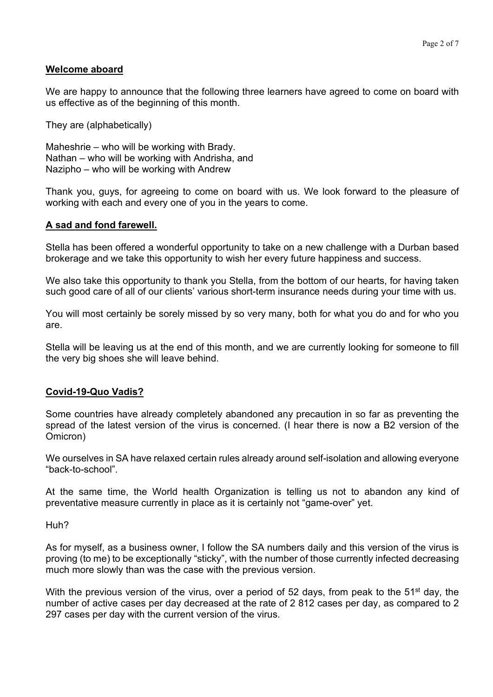#### **Welcome aboard**

We are happy to announce that the following three learners have agreed to come on board with us effective as of the beginning of this month.

They are (alphabetically)

Maheshrie – who will be working with Brady. Nathan – who will be working with Andrisha, and Nazipho – who will be working with Andrew

Thank you, guys, for agreeing to come on board with us. We look forward to the pleasure of working with each and every one of you in the years to come.

#### **A sad and fond farewell.**

Stella has been offered a wonderful opportunity to take on a new challenge with a Durban based brokerage and we take this opportunity to wish her every future happiness and success.

We also take this opportunity to thank you Stella, from the bottom of our hearts, for having taken such good care of all of our clients' various short-term insurance needs during your time with us.

You will most certainly be sorely missed by so very many, both for what you do and for who you are.

Stella will be leaving us at the end of this month, and we are currently looking for someone to fill the very big shoes she will leave behind.

### **Covid-19-Quo Vadis?**

Some countries have already completely abandoned any precaution in so far as preventing the spread of the latest version of the virus is concerned. (I hear there is now a B2 version of the Omicron)

We ourselves in SA have relaxed certain rules already around self-isolation and allowing everyone "back-to-school".

At the same time, the World health Organization is telling us not to abandon any kind of preventative measure currently in place as it is certainly not "game-over" yet.

Huh?

As for myself, as a business owner, I follow the SA numbers daily and this version of the virus is proving (to me) to be exceptionally "sticky", with the number of those currently infected decreasing much more slowly than was the case with the previous version.

With the previous version of the virus, over a period of 52 days, from peak to the 51<sup>st</sup> day, the number of active cases per day decreased at the rate of 2 812 cases per day, as compared to 2 297 cases per day with the current version of the virus.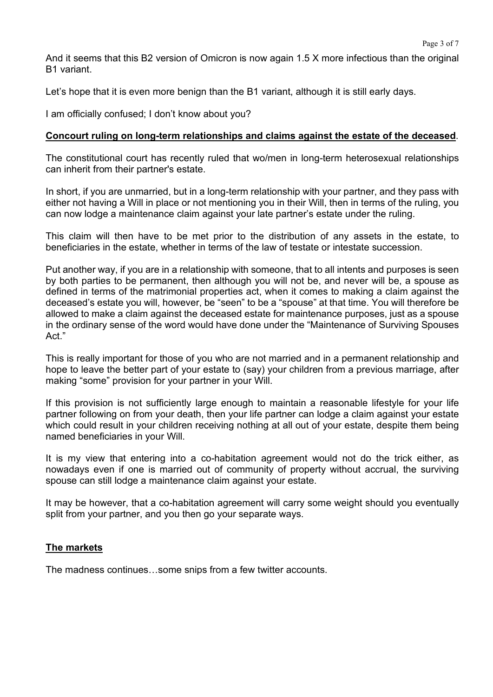And it seems that this B2 version of Omicron is now again 1.5 X more infectious than the original B1 variant.

Let's hope that it is even more benign than the B1 variant, although it is still early days.

I am officially confused; I don't know about you?

### **Concourt ruling on long-term relationships and claims against the estate of the deceased**.

The constitutional court has recently ruled that wo/men in long-term heterosexual relationships can inherit from their partner's estate.

In short, if you are unmarried, but in a long-term relationship with your partner, and they pass with either not having a Will in place or not mentioning you in their Will, then in terms of the ruling, you can now lodge a maintenance claim against your late partner's estate under the ruling.

This claim will then have to be met prior to the distribution of any assets in the estate, to beneficiaries in the estate, whether in terms of the law of testate or intestate succession.

Put another way, if you are in a relationship with someone, that to all intents and purposes is seen by both parties to be permanent, then although you will not be, and never will be, a spouse as defined in terms of the matrimonial properties act, when it comes to making a claim against the deceased's estate you will, however, be "seen" to be a "spouse" at that time. You will therefore be allowed to make a claim against the deceased estate for maintenance purposes, just as a spouse in the ordinary sense of the word would have done under the "Maintenance of Surviving Spouses Act."

This is really important for those of you who are not married and in a permanent relationship and hope to leave the better part of your estate to (say) your children from a previous marriage, after making "some" provision for your partner in your Will.

If this provision is not sufficiently large enough to maintain a reasonable lifestyle for your life partner following on from your death, then your life partner can lodge a claim against your estate which could result in your children receiving nothing at all out of your estate, despite them being named beneficiaries in your Will.

It is my view that entering into a co-habitation agreement would not do the trick either, as nowadays even if one is married out of community of property without accrual, the surviving spouse can still lodge a maintenance claim against your estate.

It may be however, that a co-habitation agreement will carry some weight should you eventually split from your partner, and you then go your separate ways.

## **The markets**

The madness continues…some snips from a few twitter accounts.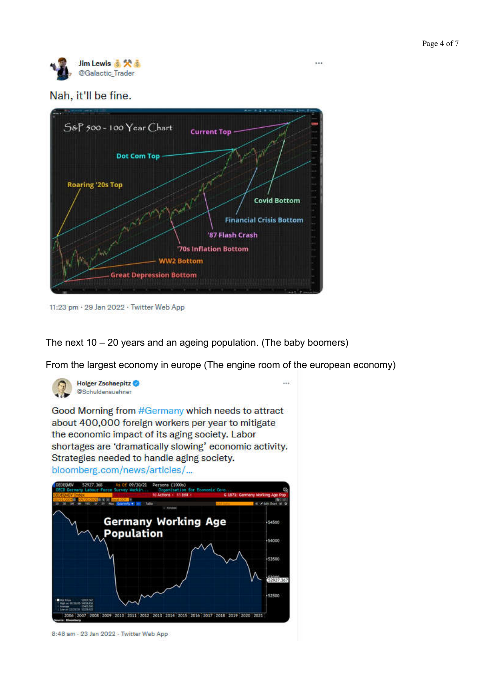

### Nah, it'll be fine.



11:23 pm · 29 Jan 2022 · Twitter Web App

The next 10 – 20 years and an ageing population. (The baby boomers)

From the largest economy in europe (The engine room of the european economy)



8:48 am - 23 Jan 2022 - Twitter Web App

 $\cdots$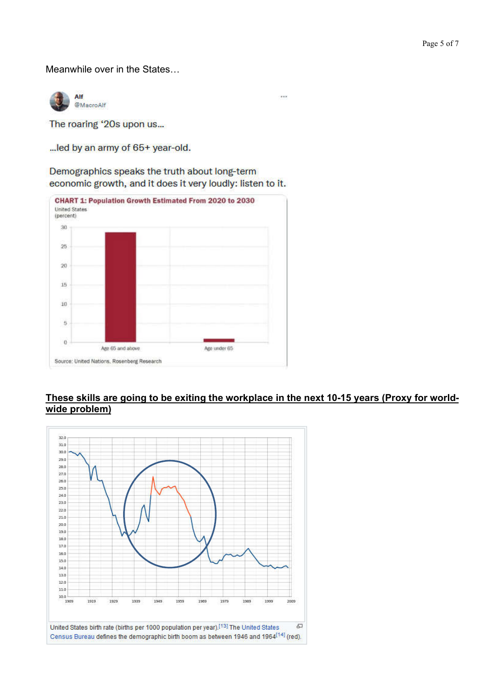Meanwhile over in the States…

Alf @MacroAlf

The roaring '20s upon us...

... led by an army of 65+ year-old.

Demographics speaks the truth about long-term economic growth, and it does it very loudly: listen to it.



#### **These skills are going to be exiting the workplace in the next 10-15 years (Proxy for worldwide problem)**

.<br>Heimi

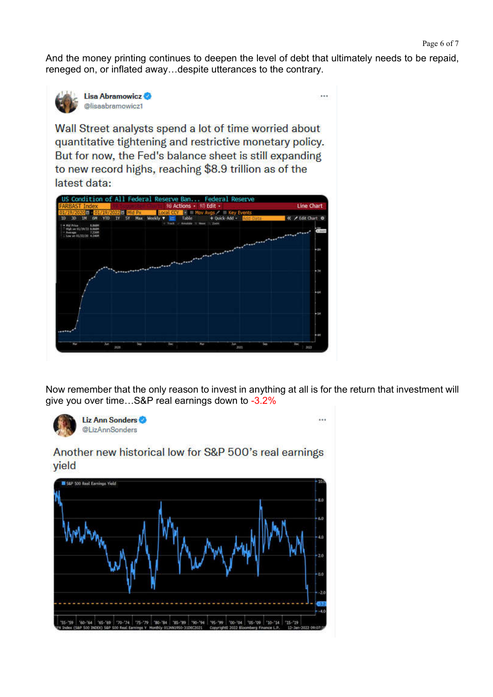And the money printing continues to deepen the level of debt that ultimately needs to be repaid, reneged on, or inflated away…despite utterances to the contrary.

 $\cdots$ 



Lisa Abramowicz @lisaabramowicz1

Wall Street analysts spend a lot of time worried about quantitative tightening and restrictive monetary policy. But for now, the Fed's balance sheet is still expanding to new record highs, reaching \$8.9 trillion as of the latest data:



Now remember that the only reason to invest in anything at all is for the return that investment will give you over time…S&P real earnings down to -3.2%